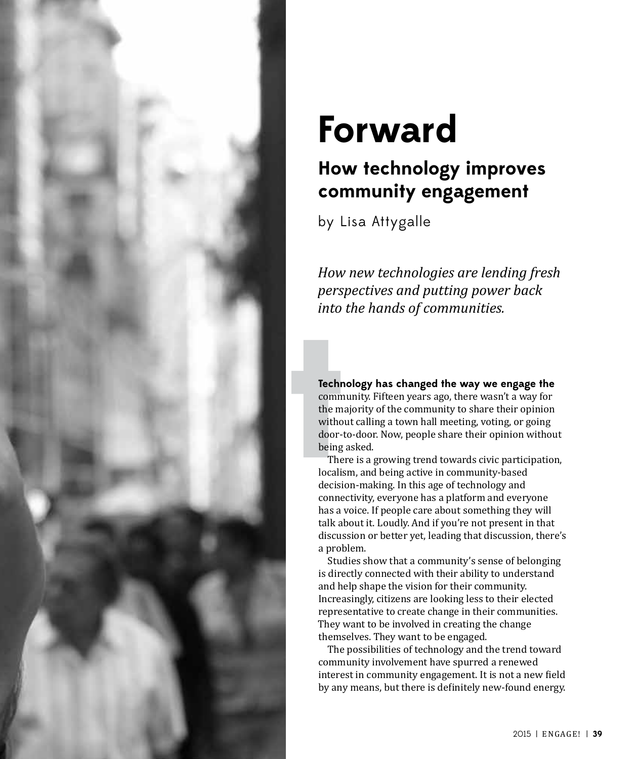

# **Forward**

# **How technology improves community engagement**

by Lisa Attygalle

*How new technologies are lending fresh perspectives and putting power back into the hands of communities.*

**Technology has changed the way we engage the**  community. Fifteen years ago, there wasn't a way for the majority of the community to share their opinion without calling a town hall meeting, voting, or going door-to-door. Now, people share their opinion without being asked.

There is a growing trend towards civic participation, localism, and being active in community-based decision-making. In this age of technology and connectivity, everyone has a platform and everyone has a voice. If people care about something they will talk about it. Loudly. And if you're not present in that discussion or better yet, leading that discussion, there's a problem.

Studies show that a community's sense of belonging is directly connected with their ability to understand and help shape the vision for their community. Increasingly, citizens are looking less to their elected representative to create change in their communities. They want to be involved in creating the change themselves. They want to be engaged.

The possibilities of technology and the trend toward community involvement have spurred a renewed interest in community engagement. It is not a new field by any means, but there is definitely new-found energy.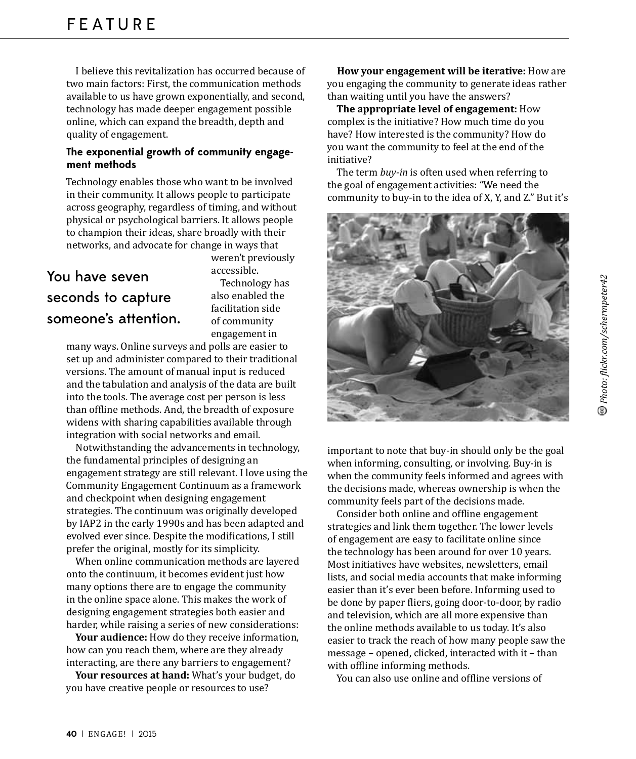I believe this revitalization has occurred because of two main factors: First, the communication methods available to us have grown exponentially, and second, technology has made deeper engagement possible online, which can expand the breadth, depth and quality of engagement.

#### **The exponential growth of community engagement methods**

Technology enables those who want to be involved in their community. It allows people to participate across geography, regardless of timing, and without physical or psychological barriers. It allows people to champion their ideas, share broadly with their networks, and advocate for change in ways that

## You have seven seconds to capture someone's attention.

accessible. Technology has also enabled the facilitation side of community engagement in

weren't previously

many ways. Online surveys and polls are easier to set up and administer compared to their traditional versions. The amount of manual input is reduced and the tabulation and analysis of the data are built into the tools. The average cost per person is less than offline methods. And, the breadth of exposure widens with sharing capabilities available through integration with social networks and email.

Notwithstanding the advancements in technology, the fundamental principles of designing an engagement strategy are still relevant. I love using the Community Engagement Continuum as a framework and checkpoint when designing engagement strategies. The continuum was originally developed by IAP2 in the early 1990s and has been adapted and evolved ever since. Despite the modifications, I still prefer the original, mostly for its simplicity.

When online communication methods are layered onto the continuum, it becomes evident just how many options there are to engage the community in the online space alone. This makes the work of designing engagement strategies both easier and harder, while raising a series of new considerations:

**Your audience:** How do they receive information, how can you reach them, where are they already interacting, are there any barriers to engagement?

Your resources at hand: What's your budget, do you have creative people or resources to use?

**How your engagement will be iterative:** you engaging the community to generate ideas rather than waiting until you have the answers?

**The appropriate level of engagement:** complex is the initiative? How much time do you have? How interested is the community? How do you want the community to feel at the end of the initiative?

The term *buy-in* is often used when referring to the goal of engagement activities: "We need the community to buy-in to the idea of X, Y, and Z." But it's



important to note that buy-in should only be the goal when informing, consulting, or involving. Buy-in is when the community feels informed and agrees with the decisions made, whereas ownership is when the community feels part of the decisions made.

Consider both online and offline engagement strategies and link them together. The lower levels of engagement are easy to facilitate online since the technology has been around for over 10 years. Most initiatives have websites, newsletters, email lists, and social media accounts that make informing easier than it's ever been before. Informing used to be done by paper fliers, going door-to-door, by radio and television, which are all more expensive than the online methods available to us today. It's also easier to track the reach of how many people saw the message - opened, clicked, interacted with it - than with offline informing methods.

You can also use online and offline versions of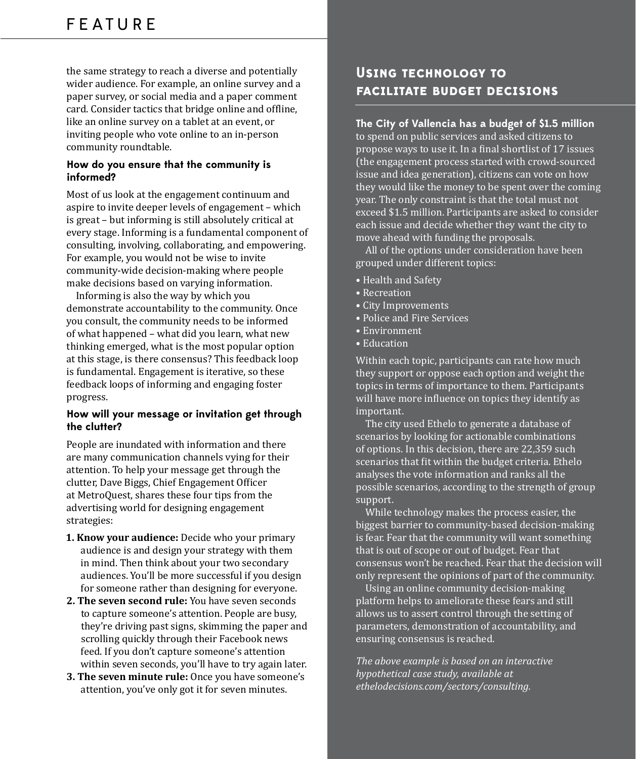the same strategy to reach a diverse and potentially wider audience. For example, an online survey and a paper survey, or social media and a paper comment card. Consider tactics that bridge online and offline, like an online survey on a tablet at an event, or inviting people who vote online to an in-person community roundtable.

#### **How do you ensure that the community is informed?**

Most of us look at the engagement continuum and aspire to invite deeper levels of engagement - which is great - but informing is still absolutely critical at every stage. Informing is a fundamental component of consulting, involving, collaborating, and empowering. For example, you would not be wise to invite community-wide decision-making where people make decisions based on varying information.

Informing is also the way by which you demonstrate accountability to the community. Once you consult, the community needs to be informed of what happened - what did you learn, what new thinking emerged, what is the most popular option at this stage, is there consensus? This feedback loop is fundamental. Engagement is iterative, so these feedback loops of informing and engaging foster progress.

#### **How will your message or invitation get through the clutter?**

People are inundated with information and there are many communication channels vying for their attention. To help your message get through the clutter, Dave Biggs, Chief Engagement Officer at MetroQuest, shares these four tips from the advertising world for designing engagement strategies:

- **1. Know your audience:** audience is and design your strategy with them in mind. Then think about your two secondary audiences. You'll be more successful if you design for someone rather than designing for everyone.
- **2. The seven second rule:** to capture someone's attention. People are busy, they're driving past signs, skimming the paper and scrolling quickly through their Facebook news feed. If you don't capture someone's attention within seven seconds, you'll have to try again later.
- **3. The seven minute rule:** Once you have someone's attention, you've only got it for seven minutes.

### **USING TECHNOLOGY TO FACILITATE BUDGET DECISIONS**

#### **The City of Vallencia has a budget of \$1.5 million**

to spend on public services and asked citizens to propose ways to use it. In a final shortlist of 17 issues (the engagement process started with crowd-sourced issue and idea generation), citizens can vote on how they would like the money to be spent over the coming year. The only constraint is that the total must not exceed \$1.5 million. Participants are asked to consider each issue and decide whether they want the city to move ahead with funding the proposals.

All of the options under consideration have been grouped under different topics:

- Health and Safety
- Recreation
- City Improvements
- Police and Fire Services
- Environment
- Education

Within each topic, participants can rate how much they support or oppose each option and weight the topics in terms of importance to them. Participants will have more influence on topics they identify as important.

The city used Ethelo to generate a database of scenarios by looking for actionable combinations of options. In this decision, there are 22,359 such scenarios that fit within the budget criteria. Ethelo analyses the vote information and ranks all the possible scenarios, according to the strength of group support.

While technology makes the process easier, the biggest barrier to community-based decision-making is fear. Fear that the community will want something that is out of scope or out of budget. Fear that consensus won't be reached. Fear that the decision will only represent the opinions of part of the community.

Using an online community decision-making platform helps to ameliorate these fears and still allows us to assert control through the setting of parameters, demonstration of accountability, and ensuring consensus is reached.

*The above example is based on an interactive hypothetical case study, available at*  ethelodecisions.com/sectors/consulting.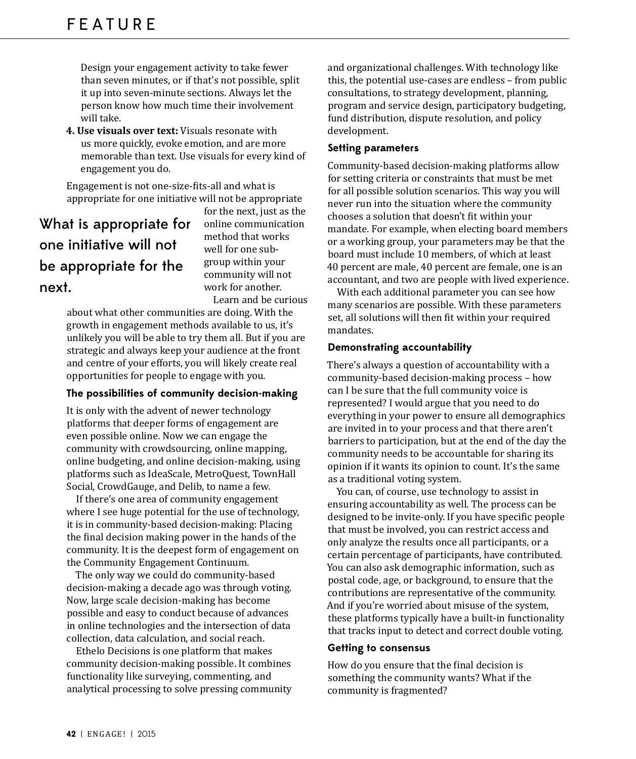Design your engagement activity to take fewer than seven minutes, or if that's not possible, split it up into seven-minute sections. Always let the person know how much time their involvement will take.

**4. Use visuals over text:** us more quickly, evoke emotion, and are more memorable than text. Use visuals for every kind of engagement you do.

Engagement is not one-size-fits-all and what is appropriate for one initiative will not be appropriate

# What is appropriate for one initiative will not be appropriate for the next.

for the next, just as the online communication method that works well for one subgroup within your community will not work for another. Learn and be curious

about what other communities are doing. With the growth in engagement methods available to us, it's unlikely you will be able to try them all. But if you are strategic and always keep your audience at the front and centre of your efforts, you will likely create real opportunities for people to engage with you.

#### **The possibilities of community decision-making**

It is only with the advent of newer technology platforms that deeper forms of engagement are even possible online. Now we can engage the community with crowdsourcing, online mapping, online budgeting, and online decision-making, using platforms such as IdeaScale, MetroQuest, TownHall Social, CrowdGauge, and Delib, to name a few.

If there's one area of community engagement where I see huge potential for the use of technology, it is in community-based decision-making: Placing the final decision making power in the hands of the community. It is the deepest form of engagement on the Community Engagement Continuum.

The only way we could do community-based decision-making a decade ago was through voting. Now, large scale decision-making has become possible and easy to conduct because of advances in online technologies and the intersection of data collection, data calculation, and social reach.

Ethelo Decisions is one platform that makes community decision-making possible. It combines functionality like surveying, commenting, and analytical processing to solve pressing community and organizational challenges. With technology like this, the potential use-cases are endless - from public consultations, to strategy development, planning, program and service design, participatory budgeting, fund distribution, dispute resolution, and policy development.

#### **Setting parameters**

Community-based decision-making platforms allow for setting criteria or constraints that must be met for all possible solution scenarios. This way you will never run into the situation where the community chooses a solution that doesn't fit within your mandate. For example, when electing board members or a working group, your parameters may be that the board must include 10 members, of which at least 40 percent are male, 40 percent are female, one is an accountant, and two are people with lived experience.

With each additional parameter you can see how many scenarios are possible. With these parameters set, all solutions will then fit within your required mandates.

#### **Demonstrating accountability**

There's always a question of accountability with a community-based decision-making process - how can I be sure that the full community voice is represented? I would argue that you need to do everything in your power to ensure all demographics are invited in to your process and that there aren't barriers to participation, but at the end of the day the community needs to be accountable for sharing its opinion if it wants its opinion to count. It's the same as a traditional voting system.

You can, of course, use technology to assist in ensuring accountability as well. The process can be designed to be invite-only. If you have specific people that must be involved, you can restrict access and only analyze the results once all participants, or a certain percentage of participants, have contributed. You can also ask demographic information, such as postal code, age, or background, to ensure that the contributions are representative of the community. And if you're worried about misuse of the system, these platforms typically have a built-in functionality that tracks input to detect and correct double voting.

#### **Getting to consensus**

How do you ensure that the final decision is something the community wants? What if the community is fragmented?